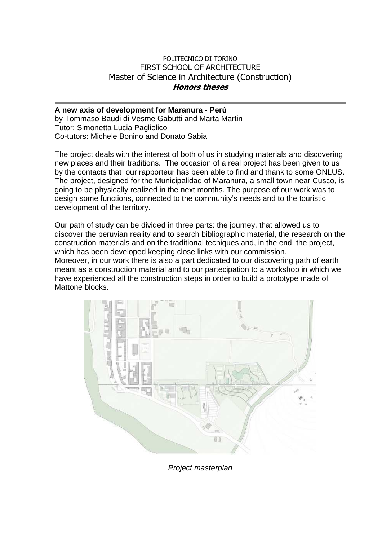## POLITECNICO DI TORINO FIRST SCHOOL OF ARCHITECTURE Master of Science in Architecture (Construction) **Honors theses**

## **A new axis of development for Maranura - Perù**

by Tommaso Baudi di Vesme Gabutti and Marta Martin Tutor: Simonetta Lucia Pagliolico Co-tutors: Michele Bonino and Donato Sabia

The project deals with the interest of both of us in studying materials and discovering new places and their traditions. The occasion of a real project has been given to us by the contacts that our rapporteur has been able to find and thank to some ONLUS. The project, designed for the Municipalidad of Maranura, a small town near Cusco, is going to be physically realized in the next months. The purpose of our work was to design some functions, connected to the community's needs and to the touristic development of the territory.

Our path of study can be divided in three parts: the journey, that allowed us to discover the peruvian reality and to search bibliographic material, the research on the construction materials and on the traditional tecniques and, in the end, the project, which has been developed keeping close links with our commission. Moreover, in our work there is also a part dedicated to our discovering path of earth

meant as a construction material and to our partecipation to a workshop in which we have experienced all the construction steps in order to build a prototype made of Mattone blocks.



Project masterplan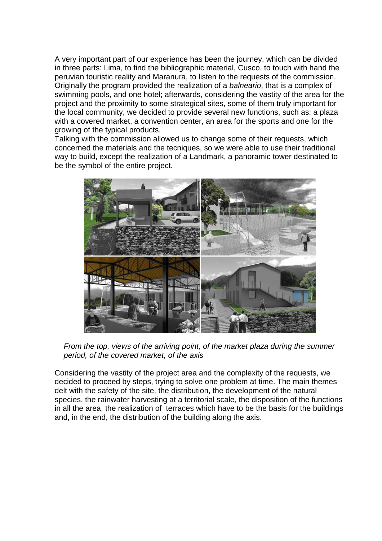A very important part of our experience has been the journey, which can be divided in three parts: Lima, to find the bibliographic material, Cusco, to touch with hand the peruvian touristic reality and Maranura, to listen to the requests of the commission. Originally the program provided the realization of a balneario, that is a complex of swimming pools, and one hotel; afterwards, considering the vastity of the area for the project and the proximity to some strategical sites, some of them truly important for the local community, we decided to provide several new functions, such as: a plaza with a covered market, a convention center, an area for the sports and one for the growing of the typical products.

Talking with the commission allowed us to change some of their requests, which concerned the materials and the tecniques, so we were able to use their traditional way to build, except the realization of a Landmark, a panoramic tower destinated to be the symbol of the entire project.



From the top, views of the arriving point, of the market plaza during the summer period, of the covered market, of the axis

Considering the vastity of the project area and the complexity of the requests, we decided to proceed by steps, trying to solve one problem at time. The main themes delt with the safety of the site, the distribution, the development of the natural species, the rainwater harvesting at a territorial scale, the disposition of the functions in all the area, the realization of terraces which have to be the basis for the buildings and, in the end, the distribution of the building along the axis.